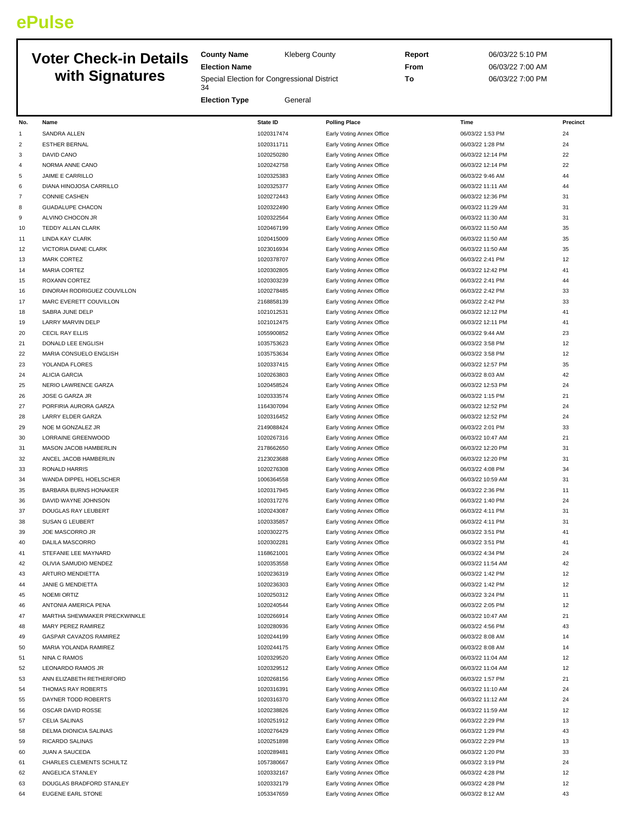## **ePulse**

## **Voter Check-in Details with Signatures**

**County Name** Kleberg County **Election Name**

Special Election for Congressional District 

**Election Type** General

**Report** 06/03/22 5:10 PM **From** 06/03/22 7:00 AM **To** 06/03/22 7:00 PM

| No.            | Name                         | <b>State ID</b> | <b>Polling Place</b>      | Time              | Precinct |
|----------------|------------------------------|-----------------|---------------------------|-------------------|----------|
| 1              | SANDRA ALLEN                 | 1020317474      | Early Voting Annex Office | 06/03/22 1:53 PM  | 24       |
| $\overline{2}$ | <b>ESTHER BERNAL</b>         | 1020311711      | Early Voting Annex Office | 06/03/22 1:28 PM  | 24       |
| 3              | DAVID CANO                   | 1020250280      | Early Voting Annex Office | 06/03/22 12:14 PM | 22       |
| 4              | NORMA ANNE CANO              | 1020242758      | Early Voting Annex Office | 06/03/22 12:14 PM | 22       |
| 5              | JAIME E CARRILLO             | 1020325383      | Early Voting Annex Office | 06/03/22 9:46 AM  | 44       |
| 6              | DIANA HINOJOSA CARRILLO      | 1020325377      | Early Voting Annex Office | 06/03/22 11:11 AM | 44       |
| $\overline{7}$ | <b>CONNIE CASHEN</b>         | 1020272443      | Early Voting Annex Office | 06/03/22 12:36 PM | 31       |
| 8              | <b>GUADALUPE CHACON</b>      | 1020322490      | Early Voting Annex Office | 06/03/22 11:29 AM | 31       |
| 9              | ALVINO CHOCON JR             | 1020322564      | Early Voting Annex Office | 06/03/22 11:30 AM | 31       |
| 10             |                              | 1020467199      |                           | 06/03/22 11:50 AM | 35       |
|                | TEDDY ALLAN CLARK            |                 | Early Voting Annex Office |                   |          |
| 11             | LINDA KAY CLARK              | 1020415009      | Early Voting Annex Office | 06/03/22 11:50 AM | 35       |
| 12             | VICTORIA DIANE CLARK         | 1023016934      | Early Voting Annex Office | 06/03/22 11:50 AM | 35       |
| 13             | <b>MARK CORTEZ</b>           | 1020378707      | Early Voting Annex Office | 06/03/22 2:41 PM  | 12       |
| 14             | <b>MARIA CORTEZ</b>          | 1020302805      | Early Voting Annex Office | 06/03/22 12:42 PM | 41       |
| 15             | ROXANN CORTEZ                | 1020303239      | Early Voting Annex Office | 06/03/22 2:41 PM  | 44       |
| 16             | DINORAH RODRIGUEZ COUVILLON  | 1020278485      | Early Voting Annex Office | 06/03/22 2:42 PM  | 33       |
| 17             | MARC EVERETT COUVILLON       | 2168858139      | Early Voting Annex Office | 06/03/22 2:42 PM  | 33       |
| 18             | SABRA JUNE DELP              | 1021012531      | Early Voting Annex Office | 06/03/22 12:12 PM | 41       |
| 19             | LARRY MARVIN DELP            | 1021012475      | Early Voting Annex Office | 06/03/22 12:11 PM | 41       |
| 20             | CECIL RAY ELLIS              | 1055900852      | Early Voting Annex Office | 06/03/22 9:44 AM  | 23       |
| 21             | DONALD LEE ENGLISH           | 1035753623      | Early Voting Annex Office | 06/03/22 3:58 PM  | 12       |
| 22             | MARIA CONSUELO ENGLISH       | 1035753634      | Early Voting Annex Office | 06/03/22 3:58 PM  | 12       |
| 23             | YOLANDA FLORES               | 1020337415      | Early Voting Annex Office | 06/03/22 12:57 PM | 35       |
| 24             | <b>ALICIA GARCIA</b>         | 1020263803      | Early Voting Annex Office | 06/03/22 8:03 AM  | 42       |
| 25             | NERIO LAWRENCE GARZA         | 1020458524      | Early Voting Annex Office | 06/03/22 12:53 PM | 24       |
| 26             | JOSE G GARZA JR              | 1020333574      | Early Voting Annex Office | 06/03/22 1:15 PM  | 21       |
| 27             | PORFIRIA AURORA GARZA        | 1164307094      | Early Voting Annex Office | 06/03/22 12:52 PM | 24       |
| 28             | <b>LARRY ELDER GARZA</b>     | 1020316452      | Early Voting Annex Office | 06/03/22 12:52 PM | 24       |
| 29             | NOE M GONZALEZ JR            | 2149088424      | Early Voting Annex Office | 06/03/22 2:01 PM  | 33       |
| 30             | LORRAINE GREENWOOD           | 1020267316      | Early Voting Annex Office | 06/03/22 10:47 AM | 21       |
| 31             | MASON JACOB HAMBERLIN        | 2178662650      | Early Voting Annex Office | 06/03/22 12:20 PM | 31       |
| 32             | ANCEL JACOB HAMBERLIN        | 2123023688      | Early Voting Annex Office | 06/03/22 12:20 PM | 31       |
| 33             | <b>RONALD HARRIS</b>         | 1020276308      | Early Voting Annex Office | 06/03/22 4:08 PM  | 34       |
| 34             | WANDA DIPPEL HOELSCHER       | 1006364558      | Early Voting Annex Office | 06/03/22 10:59 AM | 31       |
| 35             | BARBARA BURNS HONAKER        | 1020317945      | Early Voting Annex Office | 06/03/22 2:36 PM  | 11       |
| 36             | DAVID WAYNE JOHNSON          | 1020317276      | Early Voting Annex Office | 06/03/22 1:40 PM  | 24       |
| 37             | DOUGLAS RAY LEUBERT          | 1020243087      | Early Voting Annex Office | 06/03/22 4:11 PM  | 31       |
| 38             | <b>SUSAN G LEUBERT</b>       |                 |                           | 06/03/22 4:11 PM  | 31       |
|                |                              | 1020335857      | Early Voting Annex Office |                   |          |
| 39             | JOE MASCORRO JR              | 1020302275      | Early Voting Annex Office | 06/03/22 3:51 PM  | 41       |
| 40             | DALILA MASCORRO              | 1020302281      | Early Voting Annex Office | 06/03/22 3:51 PM  | 41       |
| 41             | STEFANIE LEE MAYNARD         | 1168621001      | Early Voting Annex Office | 06/03/22 4:34 PM  | 24       |
| 42             | OLIVIA SAMUDIO MENDEZ        | 1020353558      | Early Voting Annex Office | 06/03/22 11:54 AM | 42       |
| 43             | ARTURO MENDIETTA             | 1020236319      | Early Voting Annex Office | 06/03/22 1:42 PM  | 12       |
| 44             | JANIE G MENDIETTA            | 1020236303      | Early Voting Annex Office | 06/03/22 1:42 PM  | 12       |
| 45             | NOEMI ORTIZ                  | 1020250312      | Early Voting Annex Office | 06/03/22 3:24 PM  | 11       |
| 46             | ANTONIA AMERICA PENA         | 1020240544      | Early Voting Annex Office | 06/03/22 2:05 PM  | 12       |
| 47             | MARTHA SHEWMAKER PRECKWINKLE | 1020266914      | Early Voting Annex Office | 06/03/22 10:47 AM | 21       |
| 48             | MARY PEREZ RAMIREZ           | 1020280936      | Early Voting Annex Office | 06/03/22 4:56 PM  | 43       |
| 49             | GASPAR CAVAZOS RAMIREZ       | 1020244199      | Early Voting Annex Office | 06/03/22 8:08 AM  | 14       |
| 50             | MARIA YOLANDA RAMIREZ        | 1020244175      | Early Voting Annex Office | 06/03/22 8:08 AM  | 14       |
| 51             | NINA C RAMOS                 | 1020329520      | Early Voting Annex Office | 06/03/22 11:04 AM | 12       |
| 52             | LEONARDO RAMOS JR            | 1020329512      | Early Voting Annex Office | 06/03/22 11:04 AM | 12       |
| 53             | ANN ELIZABETH RETHERFORD     | 1020268156      | Early Voting Annex Office | 06/03/22 1:57 PM  | 21       |
| 54             | THOMAS RAY ROBERTS           | 1020316391      | Early Voting Annex Office | 06/03/22 11:10 AM | 24       |
| 55             | DAYNER TODD ROBERTS          | 1020316370      | Early Voting Annex Office | 06/03/22 11:12 AM | 24       |
| 56             | OSCAR DAVID ROSSE            | 1020238826      | Early Voting Annex Office | 06/03/22 11:59 AM | 12       |
| 57             | <b>CELIA SALINAS</b>         | 1020251912      | Early Voting Annex Office | 06/03/22 2:29 PM  | 13       |
| 58             | DELMA DIONICIA SALINAS       | 1020276429      | Early Voting Annex Office | 06/03/22 1:29 PM  | 43       |
| 59             | RICARDO SALINAS              | 1020251898      | Early Voting Annex Office | 06/03/22 2:29 PM  | 13       |
| 60             | JUAN A SAUCEDA               | 1020289481      | Early Voting Annex Office | 06/03/22 1:20 PM  | 33       |
| 61             | CHARLES CLEMENTS SCHULTZ     | 1057380667      |                           | 06/03/22 3:19 PM  | 24       |
| 62             | ANGELICA STANLEY             | 1020332167      | Early Voting Annex Office | 06/03/22 4:28 PM  | 12       |
|                |                              |                 | Early Voting Annex Office |                   |          |
| 63             | DOUGLAS BRADFORD STANLEY     | 1020332179      | Early Voting Annex Office | 06/03/22 4:28 PM  | 12       |
| 64             | EUGENE EARL STONE            | 1053347659      | Early Voting Annex Office | 06/03/22 8:12 AM  | 43       |